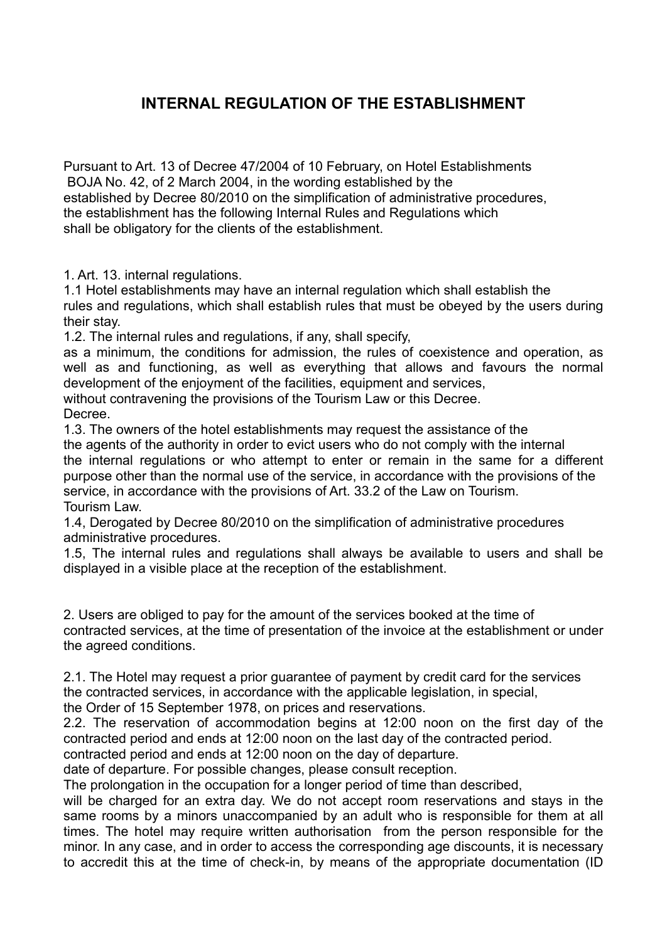## **INTERNAL REGULATION OF THE ESTABLISHMENT**

Pursuant to Art. 13 of Decree 47/2004 of 10 February, on Hotel Establishments BOJA No. 42, of 2 March 2004, in the wording established by the established by Decree 80/2010 on the simplification of administrative procedures, the establishment has the following Internal Rules and Regulations which shall be obligatory for the clients of the establishment.

1. Art. 13. internal regulations.

1.1 Hotel establishments may have an internal regulation which shall establish the rules and regulations, which shall establish rules that must be obeyed by the users during their stay.

1.2. The internal rules and regulations, if any, shall specify,

as a minimum, the conditions for admission, the rules of coexistence and operation, as well as and functioning, as well as everything that allows and favours the normal development of the enjoyment of the facilities, equipment and services,

without contravening the provisions of the Tourism Law or this Decree. Decree.

1.3. The owners of the hotel establishments may request the assistance of the the agents of the authority in order to evict users who do not comply with the internal the internal regulations or who attempt to enter or remain in the same for a different purpose other than the normal use of the service, in accordance with the provisions of the service, in accordance with the provisions of Art. 33.2 of the Law on Tourism. Tourism Law.

1.4, Derogated by Decree 80/2010 on the simplification of administrative procedures administrative procedures.

1.5, The internal rules and regulations shall always be available to users and shall be displayed in a visible place at the reception of the establishment.

2. Users are obliged to pay for the amount of the services booked at the time of contracted services, at the time of presentation of the invoice at the establishment or under the agreed conditions.

2.1. The Hotel may request a prior guarantee of payment by credit card for the services the contracted services, in accordance with the applicable legislation, in special,

the Order of 15 September 1978, on prices and reservations.

2.2. The reservation of accommodation begins at 12:00 noon on the first day of the contracted period and ends at 12:00 noon on the last day of the contracted period.

contracted period and ends at 12:00 noon on the day of departure.

date of departure. For possible changes, please consult reception.

The prolongation in the occupation for a longer period of time than described,

will be charged for an extra day. We do not accept room reservations and stays in the same rooms by a minors unaccompanied by an adult who is responsible for them at all times. The hotel may require written authorisation from the person responsible for the minor. In any case, and in order to access the corresponding age discounts, it is necessary to accredit this at the time of check-in, by means of the appropriate documentation (ID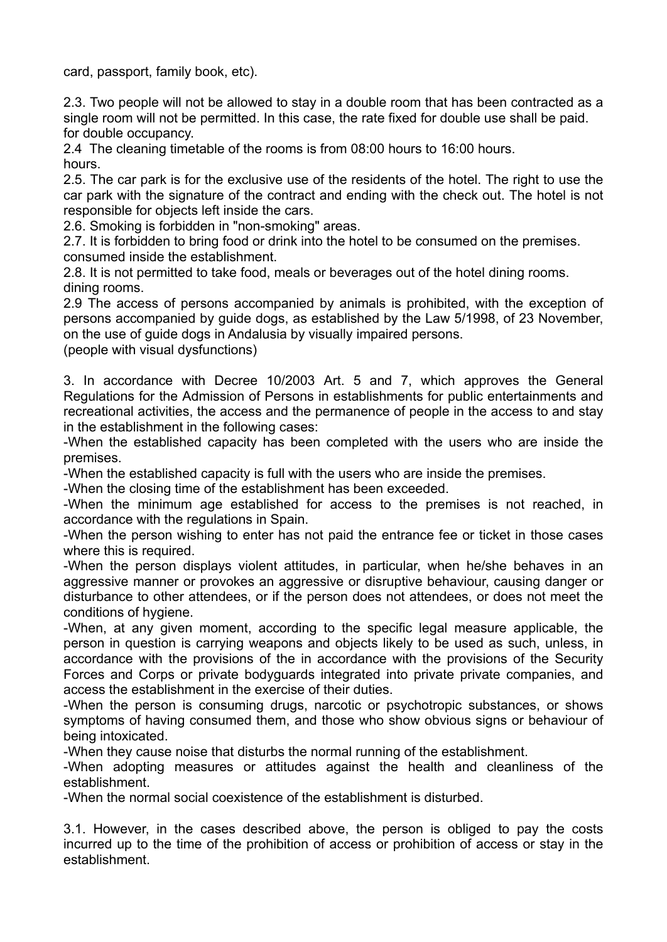card, passport, family book, etc).

2.3. Two people will not be allowed to stay in a double room that has been contracted as a single room will not be permitted. In this case, the rate fixed for double use shall be paid. for double occupancy.

2.4 The cleaning timetable of the rooms is from 08:00 hours to 16:00 hours. hours.

2.5. The car park is for the exclusive use of the residents of the hotel. The right to use the car park with the signature of the contract and ending with the check out. The hotel is not responsible for objects left inside the cars.

2.6. Smoking is forbidden in "non-smoking" areas.

2.7. It is forbidden to bring food or drink into the hotel to be consumed on the premises. consumed inside the establishment.

2.8. It is not permitted to take food, meals or beverages out of the hotel dining rooms. dining rooms.

2.9 The access of persons accompanied by animals is prohibited, with the exception of persons accompanied by guide dogs, as established by the Law 5/1998, of 23 November, on the use of guide dogs in Andalusia by visually impaired persons.

(people with visual dysfunctions)

3. In accordance with Decree 10/2003 Art. 5 and 7, which approves the General Regulations for the Admission of Persons in establishments for public entertainments and recreational activities, the access and the permanence of people in the access to and stay in the establishment in the following cases:

-When the established capacity has been completed with the users who are inside the premises.

-When the established capacity is full with the users who are inside the premises.

-When the closing time of the establishment has been exceeded.

-When the minimum age established for access to the premises is not reached, in accordance with the regulations in Spain.

-When the person wishing to enter has not paid the entrance fee or ticket in those cases where this is required.

-When the person displays violent attitudes, in particular, when he/she behaves in an aggressive manner or provokes an aggressive or disruptive behaviour, causing danger or disturbance to other attendees, or if the person does not attendees, or does not meet the conditions of hygiene.

-When, at any given moment, according to the specific legal measure applicable, the person in question is carrying weapons and objects likely to be used as such, unless, in accordance with the provisions of the in accordance with the provisions of the Security Forces and Corps or private bodyguards integrated into private private companies, and access the establishment in the exercise of their duties.

-When the person is consuming drugs, narcotic or psychotropic substances, or shows symptoms of having consumed them, and those who show obvious signs or behaviour of being intoxicated.

-When they cause noise that disturbs the normal running of the establishment.

-When adopting measures or attitudes against the health and cleanliness of the establishment.

-When the normal social coexistence of the establishment is disturbed.

3.1. However, in the cases described above, the person is obliged to pay the costs incurred up to the time of the prohibition of access or prohibition of access or stay in the establishment.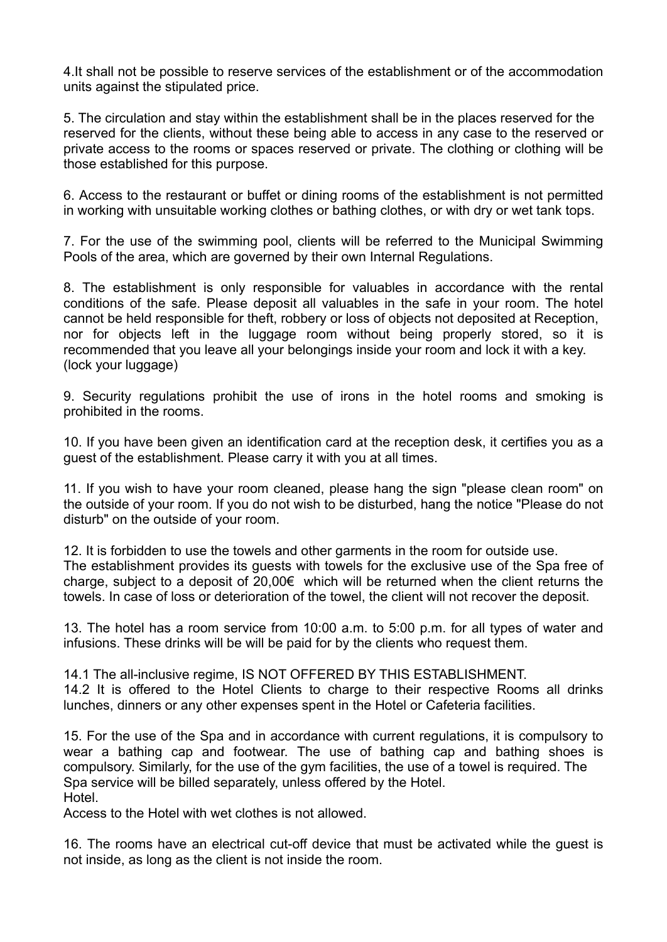4.It shall not be possible to reserve services of the establishment or of the accommodation units against the stipulated price.

5. The circulation and stay within the establishment shall be in the places reserved for the reserved for the clients, without these being able to access in any case to the reserved or private access to the rooms or spaces reserved or private. The clothing or clothing will be those established for this purpose.

6. Access to the restaurant or buffet or dining rooms of the establishment is not permitted in working with unsuitable working clothes or bathing clothes, or with dry or wet tank tops.

7. For the use of the swimming pool, clients will be referred to the Municipal Swimming Pools of the area, which are governed by their own Internal Regulations.

8. The establishment is only responsible for valuables in accordance with the rental conditions of the safe. Please deposit all valuables in the safe in your room. The hotel cannot be held responsible for theft, robbery or loss of objects not deposited at Reception, nor for objects left in the luggage room without being properly stored, so it is recommended that you leave all your belongings inside your room and lock it with a key. (lock your luggage)

9. Security regulations prohibit the use of irons in the hotel rooms and smoking is prohibited in the rooms.

10. If you have been given an identification card at the reception desk, it certifies you as a guest of the establishment. Please carry it with you at all times.

11. If you wish to have your room cleaned, please hang the sign "please clean room" on the outside of your room. If you do not wish to be disturbed, hang the notice "Please do not disturb" on the outside of your room.

12. It is forbidden to use the towels and other garments in the room for outside use. The establishment provides its guests with towels for the exclusive use of the Spa free of charge, subject to a deposit of 20,00€ which will be returned when the client returns the towels. In case of loss or deterioration of the towel, the client will not recover the deposit.

13. The hotel has a room service from 10:00 a.m. to 5:00 p.m. for all types of water and infusions. These drinks will be will be paid for by the clients who request them.

14.1 The all-inclusive regime, IS NOT OFFERED BY THIS ESTABLISHMENT. 14.2 It is offered to the Hotel Clients to charge to their respective Rooms all drinks lunches, dinners or any other expenses spent in the Hotel or Cafeteria facilities.

15. For the use of the Spa and in accordance with current regulations, it is compulsory to wear a bathing cap and footwear. The use of bathing cap and bathing shoes is compulsory. Similarly, for the use of the gym facilities, the use of a towel is required. The Spa service will be billed separately, unless offered by the Hotel. Hotel.

Access to the Hotel with wet clothes is not allowed.

16. The rooms have an electrical cut-off device that must be activated while the guest is not inside, as long as the client is not inside the room.